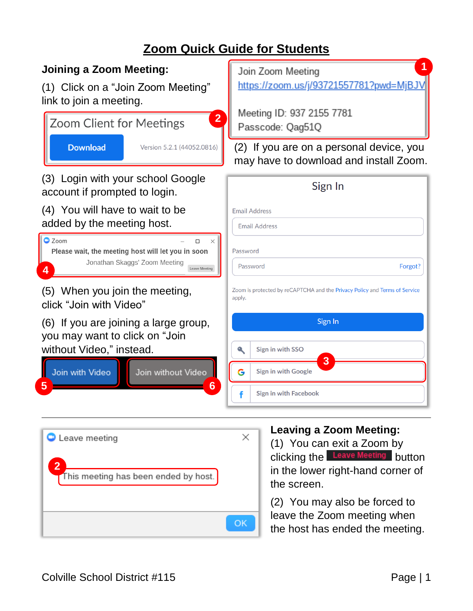# **Zoom Quick Guide for Students**

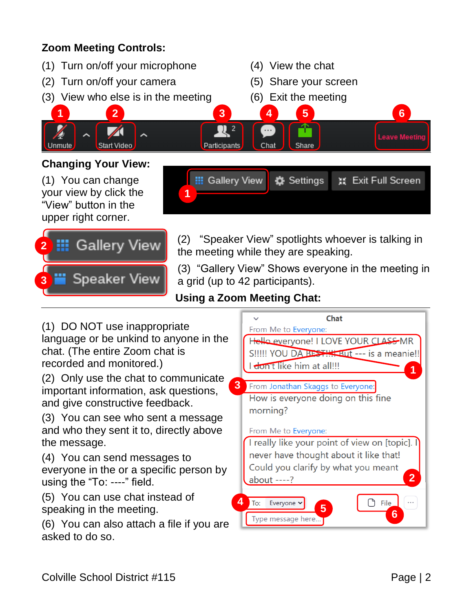## **Zoom Meeting Controls:**

(1) Turn on/off your microphone (4) View the chat (2) Turn on/off your camera (5) Share your screen (3) View who else is in the meeting (6) Exit the meeting **1 2 3 4 5 6**  $\mathbb{R}$  2 **Leave Meetin** Start Video Unmute Participants Chat Share **Changing Your View: III** Gallery View (1) You can change **卷** Settings ※ Exit Full Screen your view by click the **1** "View" button in the upper right corner.

![](_page_1_Picture_2.jpeg)

(2) "Speaker View" spotlights whoever is talking in the meeting while they are speaking.

(3) "Gallery View" Shows everyone in the meeting in a grid (up to 42 participants).

### **Using a Zoom Meeting Chat:**

![](_page_1_Figure_6.jpeg)